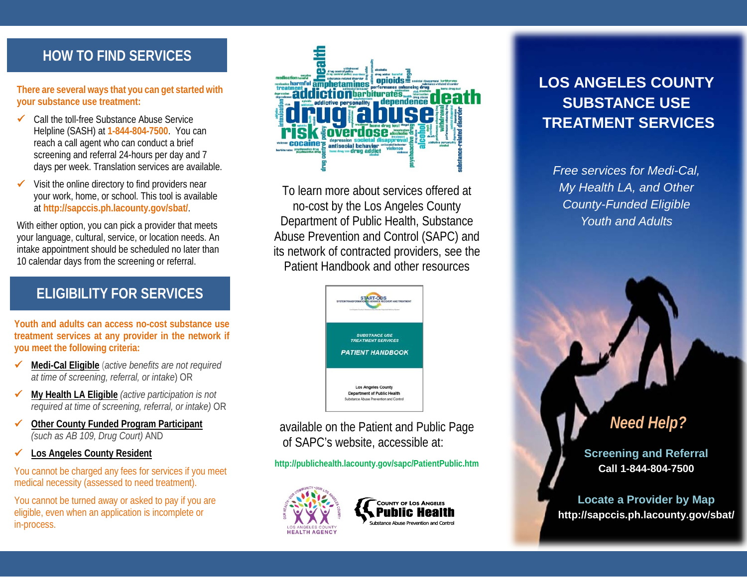## **HOW TO FIND SERVICES**

**There are several ways that you can get started with your substance use treatment:** 

- $\checkmark$  Call the toll-free Substance Abuse Service Helpline (SASH) at **1-844-804-7500**. You can reach a call agent who can conduct a brief screening and referral 24-hours per day and 7 days per week. Translation services are available.
- Visit the online directory to find providers near your work, home, or school. This tool is available at **http://sapccis.ph.lacounty.gov/sbat/**.

With either option, you can pick a provider that meets your language, cultural, service, or location needs. An intake appointment should be scheduled no later than 10 calendar days from the screening or referral.

### **ELIGIBILITY FOR SERVICES**

**Youth and adults can access no-cost substance use treatment services at any provider in the network if you meet the following criteria:** 

- **Medi-Cal Eligible** (*active benefits are not required at time of screening, referral, or intake*) OR
- **My Health LA Eligible** *(active participation is not required at time of screening, referral, or intake)* OR
- **Other County Funded Program Participant** *(such as AB 109, Drug Court)* AND
- **Los Angeles County Resident**

You cannot be charged any fees for services if you meet medical necessity (assessed to need treatment).

You cannot be turned away or asked to pay if you are eligible, even when an application is incomplete or in-process.



To learn more about services offered at no-cost by the Los Angeles County Department of Public Health, Substance Abuse Prevention and Control (SAPC) and its network of contracted providers, see the Patient Handbook and other resources



 available on the Patient and Public Page of SAPC's website, accessible at:

**http://publichealth.lacounty.gov/sapc/PatientPublic.htm** 





# **LOS ANGELES COUNTY SUBSTANCE USE TREATMENT SERVICES**

*Free services for Medi-Cal, My Health LA, and Other County-Funded Eligible Youth and Adults*

# *Need Help?*

**Screening and Referral Call 1-844-804-7500**

**Locate a Provider by Map** http://sapccis.ph.lacounty.gov/sbat/